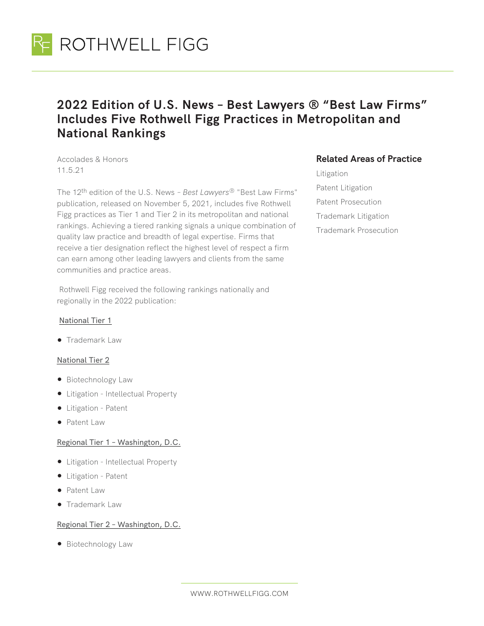

# **2022 Edition of U.S. News – Best Lawyers ® "Best Law Firms" Includes Five Rothwell Figg Practices in Metropolitan and National Rankings**

Accolades & Honors 11.5.21

The 12th edition of the U.S. News *– Best Lawyers®* "Best Law Firms" publication, released on November 5, 2021, includes five Rothwell Figg practices as Tier 1 and Tier 2 in its metropolitan and national rankings. Achieving a tiered ranking signals a unique combination of quality law practice and breadth of legal expertise. Firms that receive a tier designation reflect the highest level of respect a firm can earn among other leading lawyers and clients from the same communities and practice areas.

 Rothwell Figg received the following rankings nationally and regionally in the 2022 publication:

#### National Tier 1

● Trademark Law

#### National Tier 2

- Biotechnology Law
- Litigation Intellectual Property
- Litigation Patent
- Patent Law

#### Regional Tier 1 – Washington, D.C.

- Litigation Intellectual Property
- Litigation Patent
- Patent Law
- Trademark Law

### Regional Tier 2 – Washington, D.C.

● Biotechnology Law

## **Related Areas of Practice**

Litigation Patent Litigation Patent Prosecution Trademark Litigation Trademark Prosecution